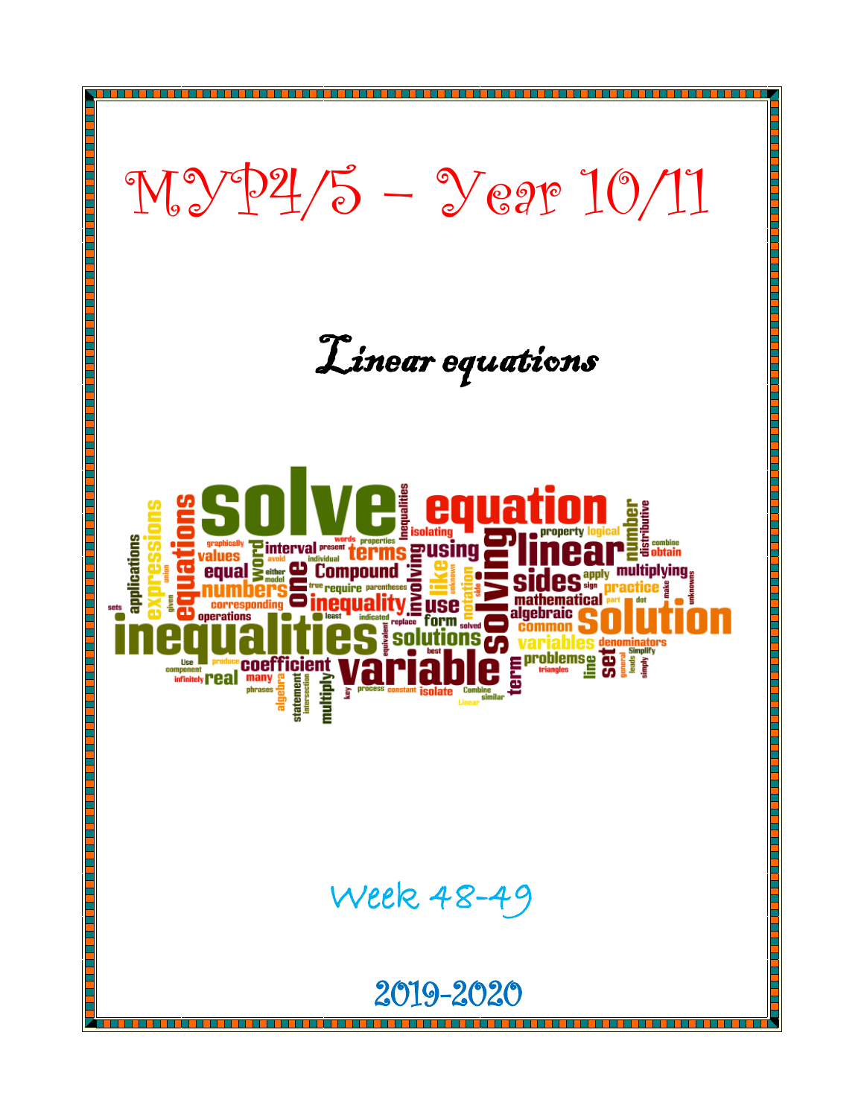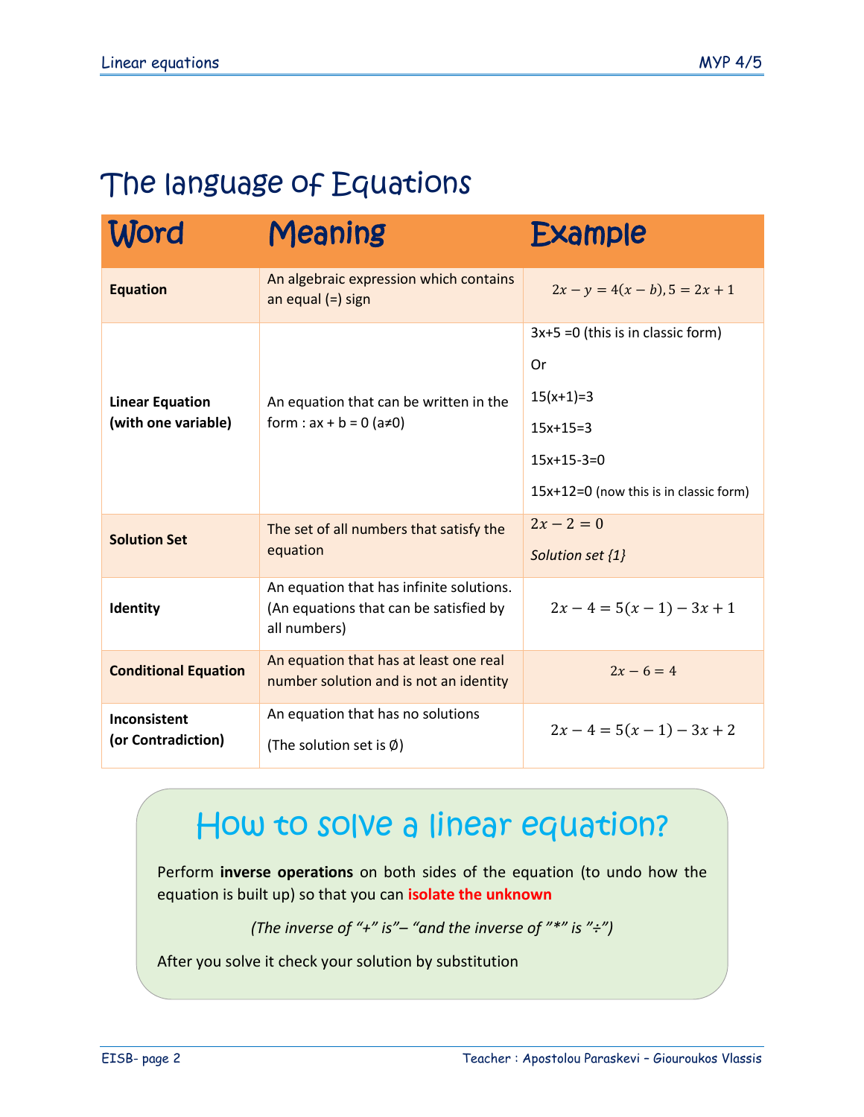### The language of Equations

| Word                                          | Meaning                                                                                            | <b>Example</b>                                                                                                                  |
|-----------------------------------------------|----------------------------------------------------------------------------------------------------|---------------------------------------------------------------------------------------------------------------------------------|
| <b>Equation</b>                               | An algebraic expression which contains<br>an equal $(=)$ sign                                      | $2x - y = 4(x - b), 5 = 2x + 1$                                                                                                 |
| <b>Linear Equation</b><br>(with one variable) | An equation that can be written in the<br>form : $ax + b = 0$ ( $a \ne 0$ )                        | $3x+5=0$ (this is in classic form)<br>Or<br>$15(x+1)=3$<br>$15x+15=3$<br>$15x+15-3=0$<br>15x+12=0 (now this is in classic form) |
| <b>Solution Set</b>                           | The set of all numbers that satisfy the<br>equation                                                | $2x - 2 = 0$<br>Solution set {1}                                                                                                |
| Identity                                      | An equation that has infinite solutions.<br>(An equations that can be satisfied by<br>all numbers) | $2x-4=5(x-1)-3x+1$                                                                                                              |
| <b>Conditional Equation</b>                   | An equation that has at least one real<br>number solution and is not an identity                   | $2x - 6 = 4$                                                                                                                    |
| Inconsistent<br>(or Contradiction)            | An equation that has no solutions<br>(The solution set is $\emptyset$ )                            | $2x-4=5(x-1)-3x+2$                                                                                                              |

### How to solve a linear equation?

Perform **inverse operations** on both sides of the equation (to undo how the equation is built up) so that you can **isolate the unknown**

*(The inverse of "+" is"– "and the inverse of "\*" is "÷")*

After you solve it check your solution by substitution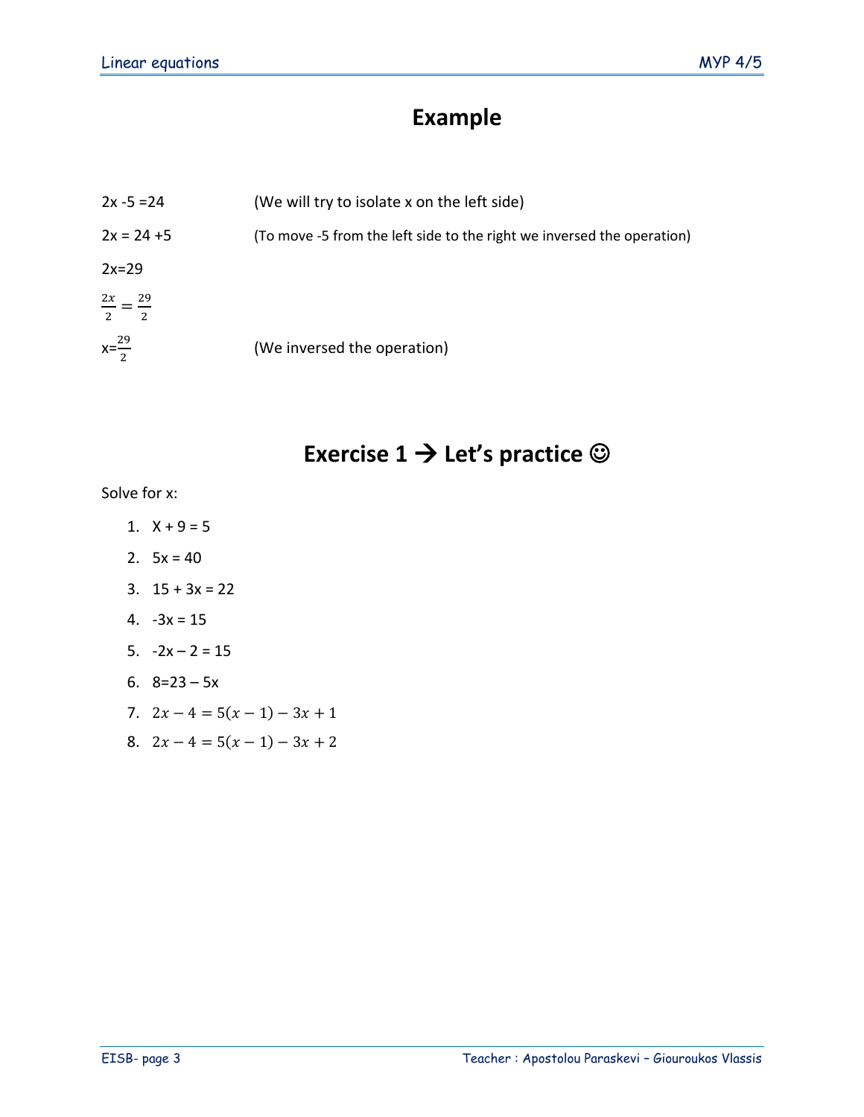### **Example**

| $2x - 5 = 24$                 | (We will try to isolate x on the left side)                            |
|-------------------------------|------------------------------------------------------------------------|
| $2x = 24 + 5$                 | (To move -5 from the left side to the right we inversed the operation) |
| $2x=29$                       |                                                                        |
| $\frac{2x}{2} = \frac{29}{2}$ |                                                                        |
| $x=\frac{29}{2}$              | (We inversed the operation)                                            |

### **Exercise 1 → Let's practice ©**

Solve for x:

- 1.  $X + 9 = 5$
- 2.  $5x = 40$
- 3.  $15 + 3x = 22$
- 4. -3x = 15
- 5.  $-2x 2 = 15$
- 6.  $8=23-5x$
- 7.  $2x 4 = 5(x 1) 3x + 1$
- 8.  $2x 4 = 5(x 1) 3x + 2$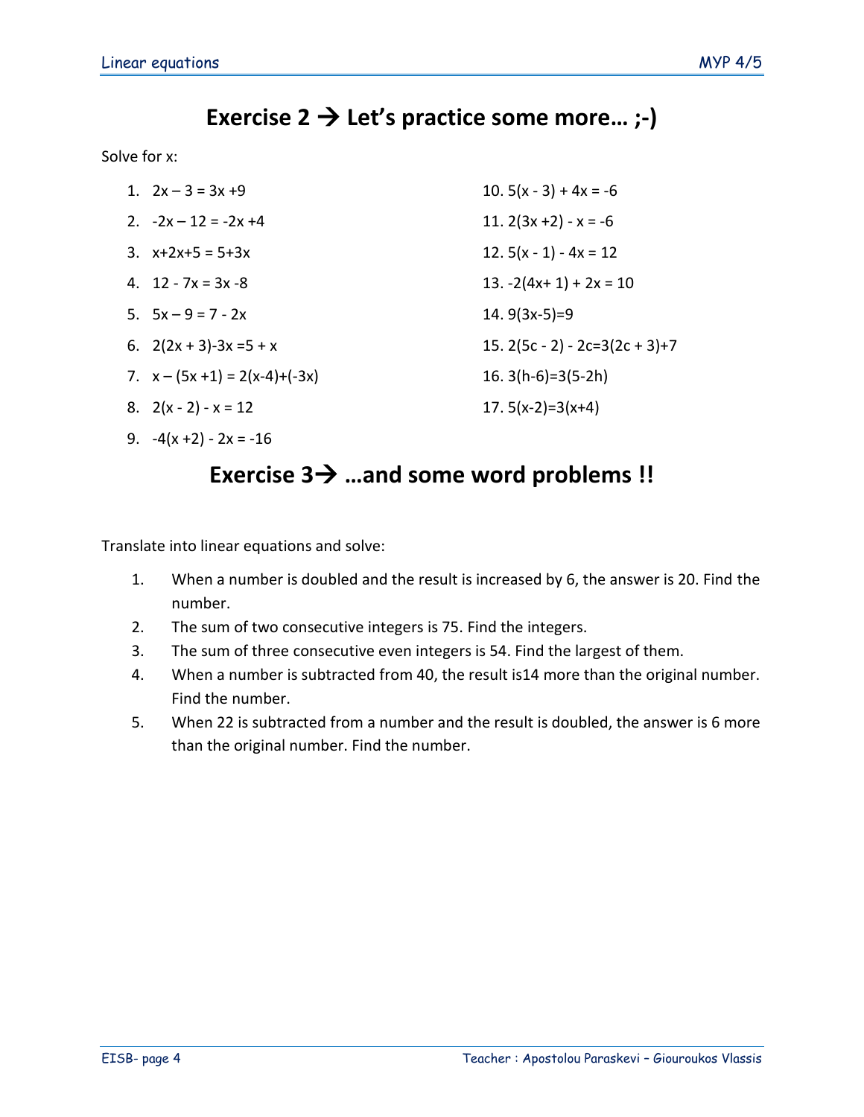### **Exercise 2** → **Let's practice some more… ;-)**

Solve for x:

| 1. $2x - 3 = 3x + 9$             | 10. $5(x - 3) + 4x = -6$             |
|----------------------------------|--------------------------------------|
| 2. $-2x - 12 = -2x + 4$          | 11. $2(3x + 2) - x = -6$             |
| 3. $x+2x+5 = 5+3x$               | 12. $5(x - 1) - 4x = 12$             |
| 4. $12 - 7x = 3x - 8$            | 13. $-2(4x+1) + 2x = 10$             |
| 5. $5x - 9 = 7 - 2x$             | 14. $9(3x-5)=9$                      |
| 6. $2(2x + 3) - 3x = 5 + x$      | 15. $2(5c - 2) - 2c = 3(2c + 3) + 7$ |
| 7. $x - (5x + 1) = 2(x-4)+(-3x)$ | 16. $3(h-6)=3(5-2h)$                 |
| 8. $2(x-2) - x = 12$             | 17. $5(x-2)=3(x+4)$                  |

9.  $-4(x+2) - 2x = -16$ 

#### **Exercise 3**→ **…and some word problems !!**

Translate into linear equations and solve:

- 1. When a number is doubled and the result is increased by 6, the answer is 20. Find the number.
- 2. The sum of two consecutive integers is 75. Find the integers.
- 3. The sum of three consecutive even integers is 54. Find the largest of them.
- 4. When a number is subtracted from 40, the result is14 more than the original number. Find the number.
- 5. When 22 is subtracted from a number and the result is doubled, the answer is 6 more than the original number. Find the number.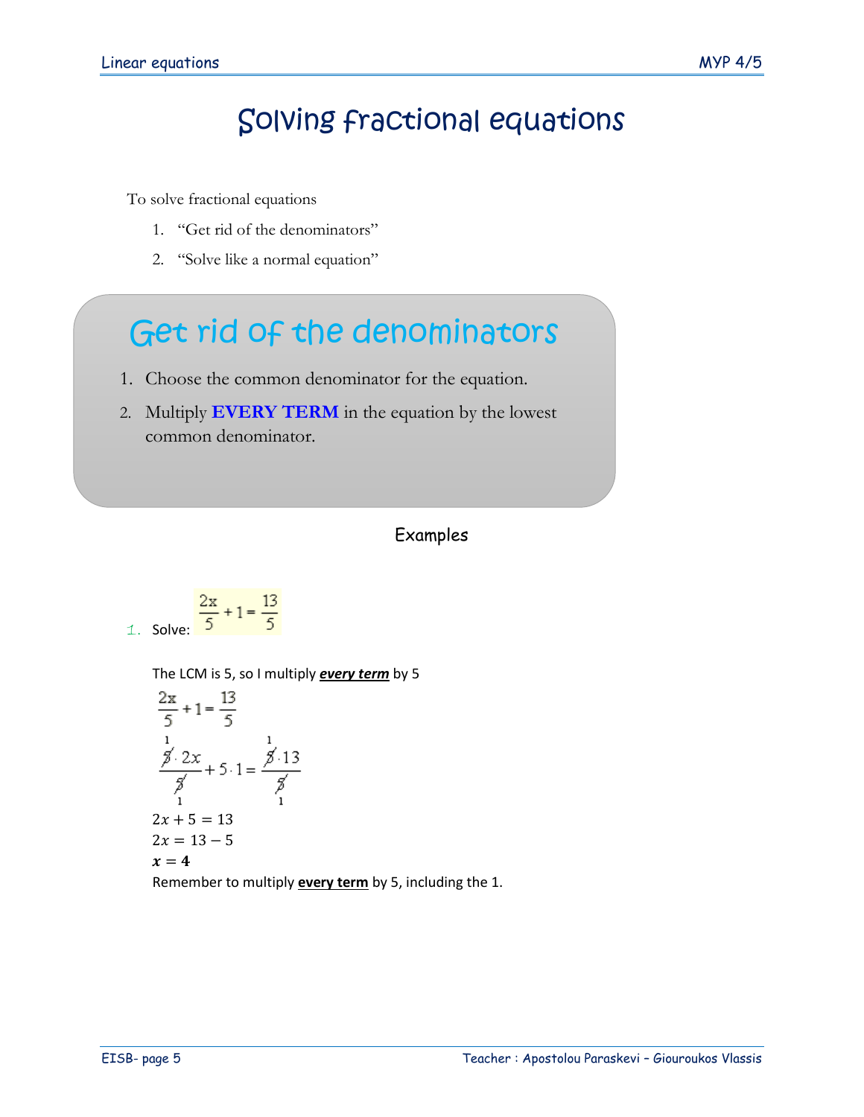## Solving fractional equations

To solve fractional equations

- 1. "Get rid of the denominators"
- 2. "Solve like a normal equation"

# Get rid of the denominators

- 1. Choose the common denominator for the equation.
- 2. Multiply **EVERY TERM** in the equation by the lowest common denominator.

#### Examples

$$
1. Solve: \frac{\frac{2x}{5} + 1 = \frac{13}{5}}
$$

The LCM is 5, so I multiply *every term* by 5

$$
\frac{2x}{5} + 1 = \frac{13}{5}
$$
  
\n
$$
\frac{3}{5} \cdot 2x + 5 \cdot 1 = \frac{3}{5} \cdot 13
$$
  
\n
$$
\frac{2x}{1} + 5 \cdot 1 = \frac{3}{5}
$$
  
\n
$$
2x + 5 = 13
$$
  
\n
$$
2x = 13 - 5
$$
  
\n
$$
x = 4
$$

Remember to multiply **every term** by 5, including the 1.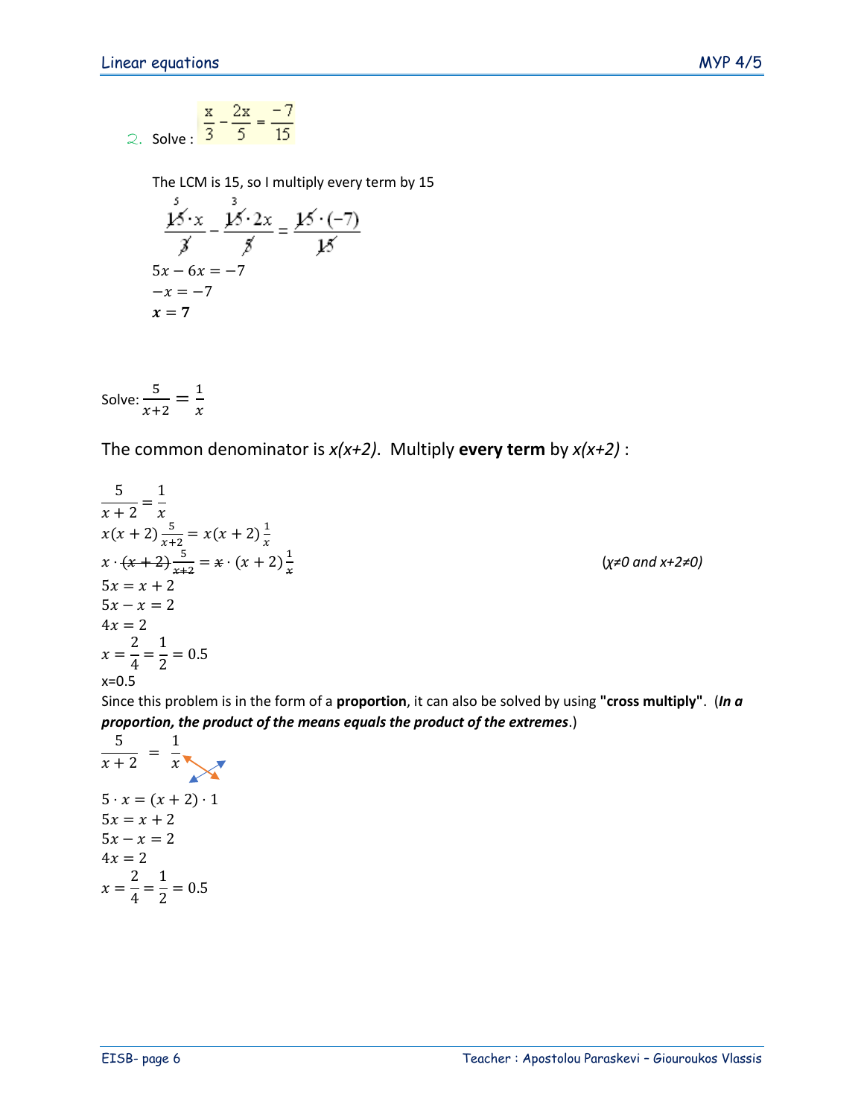2. Solve: 
$$
\frac{x}{3} - \frac{2x}{5} = \frac{-7}{15}
$$

The LCM is 15, so I multiply every term by 15

$$
\frac{\cancel{13}}{\cancel{3}} \cdot x - \frac{\cancel{13}}{\cancel{3}} \cdot 2x = \frac{\cancel{13}}{\cancel{13}} \cdot (-7)
$$
  
5x - 6x = -7  
-x = -7  
x = 7

Solve: 
$$
\frac{5}{x+2} = \frac{1}{x}
$$

The common denominator is *x(x+2)*. Multiply **every term** by *x(x+2)* :

$$
\frac{5}{x+2} = \frac{1}{x}
$$
  
\n
$$
x(x+2) \frac{5}{x+2} = x(x+2) \frac{1}{x}
$$
  
\n
$$
x \cdot (x+2) \frac{5}{x+2} = x \cdot (x+2) \frac{1}{x}
$$
  
\n
$$
5x = x + 2
$$
  
\n
$$
5x - x = 2
$$
  
\n
$$
4x = 2
$$
  
\n
$$
x = \frac{2}{4} = \frac{1}{2} = 0.5
$$
  
\n
$$
x = 0.5
$$
  
\n
$$
x = 0.5
$$
  
\n
$$
x = 0.5
$$

Since this problem is in the form of a **proportion**, it can also be solved by using **"cross multiply"**. (*In a proportion, the product of the means equals the product of the extremes*.)

$$
\frac{5}{x+2} = \frac{1}{x}
$$
\n
$$
5 \cdot x = (x+2) \cdot 1
$$
\n
$$
5x = x+2
$$
\n
$$
5x - x = 2
$$
\n
$$
4x = 2
$$
\n
$$
x = \frac{2}{4} = \frac{1}{2} = 0.5
$$